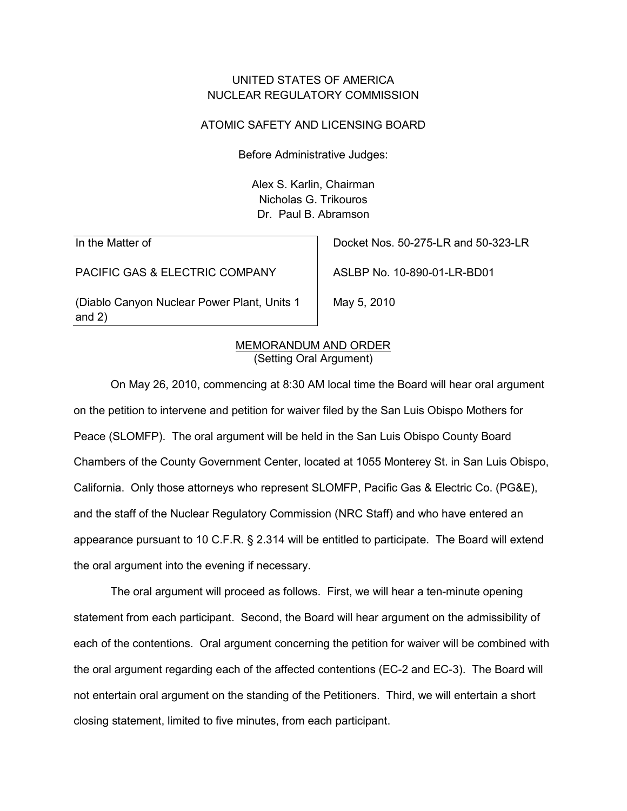# UNITED STATES OF AMERICA NUCLEAR REGULATORY COMMISSION

### ATOMIC SAFETY AND LICENSING BOARD

Before Administrative Judges:

Alex S. Karlin, Chairman Nicholas G. Trikouros Dr. Paul B. Abramson

In the Matter of

PACIFIC GAS & ELECTRIC COMPANY

(Diablo Canyon Nuclear Power Plant, Units 1 and 2)

Docket Nos. 50-275-LR and 50-323-LR

ASLBP No. 10-890-01-LR-BD01

May 5, 2010

### (Setting Oral Argument) MEMORANDUM AND ORDER

On May 26, 2010, commencing at 8:30 AM local time the Board will hear oral argument on the petition to intervene and petition for waiver filed by the San Luis Obispo Mothers for Peace (SLOMFP). The oral argument will be held in the San Luis Obispo County Board Chambers of the County Government Center, located at 1055 Monterey St. in San Luis Obispo, California. Only those attorneys who represent SLOMFP, Pacific Gas & Electric Co. (PG&E), and the staff of the Nuclear Regulatory Commission (NRC Staff) and who have entered an appearance pursuant to 10 C.F.R. § 2.314 will be entitled to participate. The Board will extend the oral argument into the evening if necessary.

The oral argument will proceed as follows. First, we will hear a ten-minute opening statement from each participant. Second, the Board will hear argument on the admissibility of each of the contentions. Oral argument concerning the petition for waiver will be combined with the oral argument regarding each of the affected contentions (EC-2 and EC-3). The Board will not entertain oral argument on the standing of the Petitioners. Third, we will entertain a short closing statement, limited to five minutes, from each participant.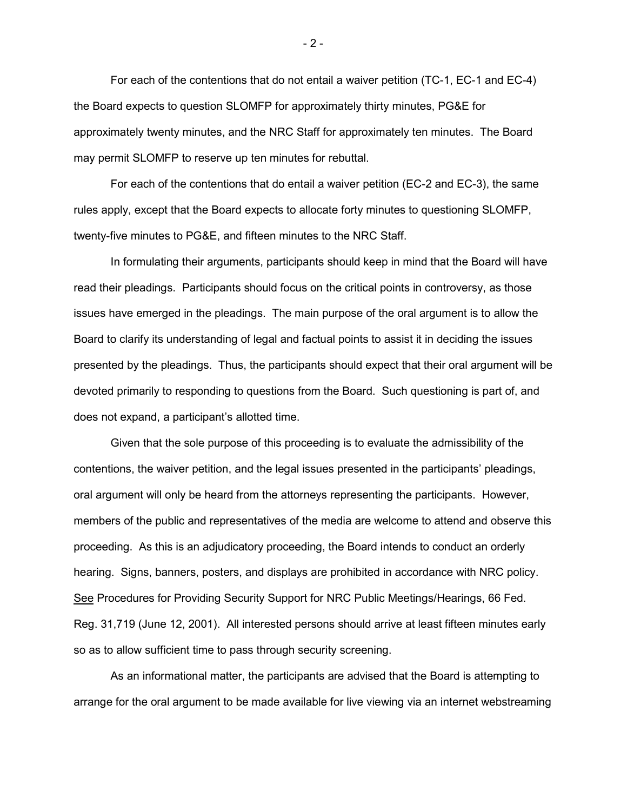For each of the contentions that do not entail a waiver petition (TC-1, EC-1 and EC-4) the Board expects to question SLOMFP for approximately thirty minutes, PG&E for approximately twenty minutes, and the NRC Staff for approximately ten minutes. The Board may permit SLOMFP to reserve up ten minutes for rebuttal.

For each of the contentions that do entail a waiver petition (EC-2 and EC-3), the same rules apply, except that the Board expects to allocate forty minutes to questioning SLOMFP, twenty-five minutes to PG&E, and fifteen minutes to the NRC Staff.

In formulating their arguments, participants should keep in mind that the Board will have read their pleadings. Participants should focus on the critical points in controversy, as those issues have emerged in the pleadings. The main purpose of the oral argument is to allow the Board to clarify its understanding of legal and factual points to assist it in deciding the issues presented by the pleadings. Thus, the participants should expect that their oral argument will be devoted primarily to responding to questions from the Board. Such questioning is part of, and does not expand, a participant's allotted time.

Given that the sole purpose of this proceeding is to evaluate the admissibility of the contentions, the waiver petition, and the legal issues presented in the participants' pleadings, oral argument will only be heard from the attorneys representing the participants. However, members of the public and representatives of the media are welcome to attend and observe this proceeding. As this is an adjudicatory proceeding, the Board intends to conduct an orderly hearing. Signs, banners, posters, and displays are prohibited in accordance with NRC policy. See Procedures for Providing Security Support for NRC Public Meetings/Hearings, 66 Fed. Reg. 31,719 (June 12, 2001). All interested persons should arrive at least fifteen minutes early so as to allow sufficient time to pass through security screening.

As an informational matter, the participants are advised that the Board is attempting to arrange for the oral argument to be made available for live viewing via an internet webstreaming

- 2 -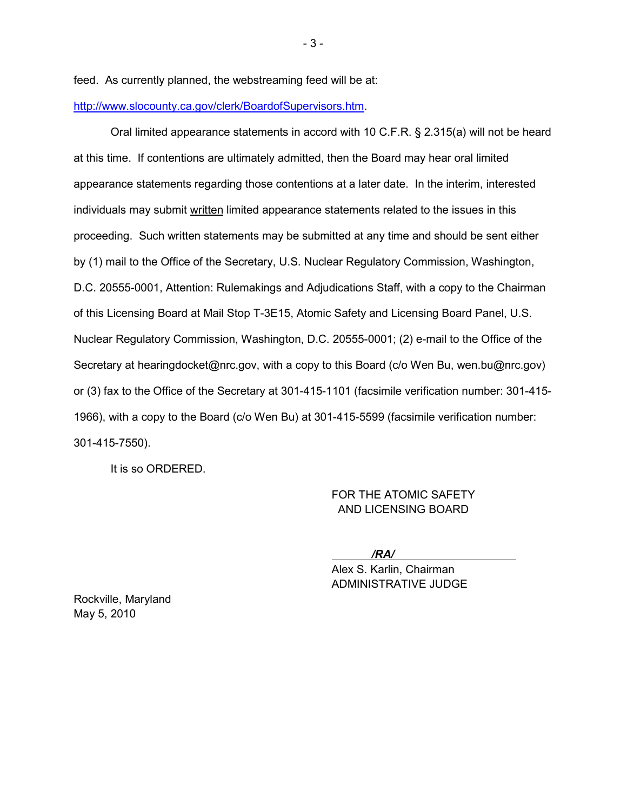feed. As currently planned, the webstreaming feed will be at:

### [http://www.slocounty.ca.gov/clerk/BoardofSupervisors.htm.](http://www.slocounty.ca.gov/clerk/BoardofSupervisors.htm)

Oral limited appearance statements in accord with 10 C.F.R. § 2.315(a) will not be heard at this time. If contentions are ultimately admitted, then the Board may hear oral limited appearance statements regarding those contentions at a later date. In the interim, interested individuals may submit <u>written</u> limited appearance statements related to the issues in this proceeding. Such written statements may be submitted at any time and should be sent either by (1) mail to the Office of the Secretary, U.S. Nuclear Regulatory Commission, Washington, D.C. 20555-0001, Attention: Rulemakings and Adjudications Staff, with a copy to the Chairman of this Licensing Board at Mail Stop T-3E15, Atomic Safety and Licensing Board Panel, U.S. Nuclear Regulatory Commission, Washington, D.C. 20555-0001; (2) e-mail to the Office of the Secretary at hearingdocket@nrc.gov, with a copy to this Board (c/o Wen Bu, wen.bu@nrc.gov) or (3) fax to the Office of the Secretary at 301-415-1101 (facsimile verification number: 301-415- 1966), with a copy to the Board (c/o Wen Bu) at 301-415-5599 (facsimile verification number: 301-415-7550).

It is so ORDERED.

FOR THE ATOMIC SAFETY AND LICENSING BOARD

*/RA/*

 Alex S. Karlin, Chairman ADMINISTRATIVE JUDGE

Rockville, Maryland May 5, 2010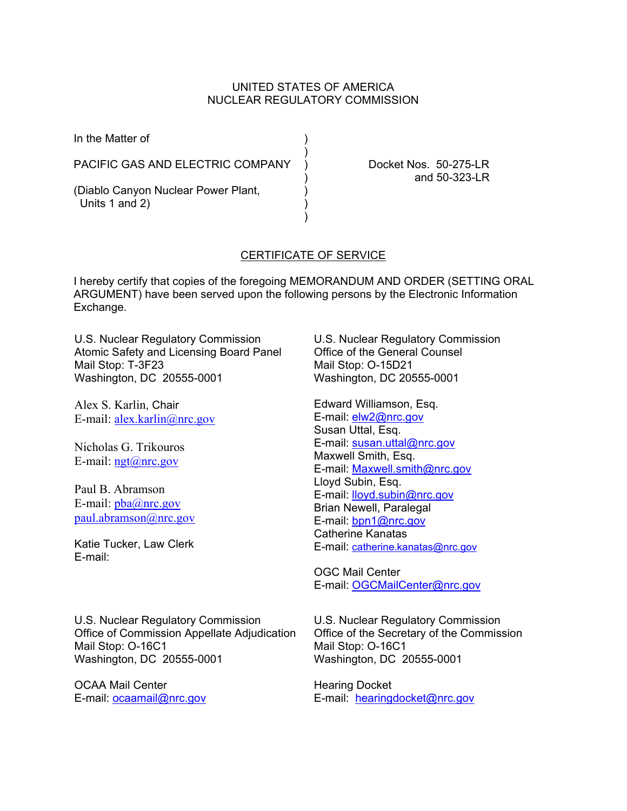### UNITED STATES OF AMERICA NUCLEAR REGULATORY COMMISSION

| In the Matter of                                      |  |
|-------------------------------------------------------|--|
| PACIFIC GAS AND ELECTRIC COMPANY                      |  |
| (Diablo Canyon Nuclear Power Plant,<br>Units 1 and 2) |  |

Docket Nos. 50-275-LR ) and 50-323-LR

# CERTIFICATE OF SERVICE

I hereby certify that copies of the foregoing MEMORANDUM AND ORDER (SETTING ORAL ARGUMENT) have been served upon the following persons by the Electronic Information Exchange.

U.S. Nuclear Regulatory Commission Atomic Safety and Licensing Board Panel Mail Stop: T-3F23 Washington, DC 20555-0001

Alex S. Karlin, Chair E-mail: alex.karlin@nrc.gov

Nicholas G. Trikouros E-mail:  $ngt@nrc.gov$ 

Paul B. Abramson E-mail:  $pba@nrc.gov$ paul.abramson@nrc.gov

Katie Tucker, Law Clerk E-mail:

U.S. Nuclear Regulatory Commission Office of Commission Appellate Adjudication Mail Stop: O-16C1 Washington, DC 20555-0001

OCAA Mail Center E-mail: ocaamail@nrc.gov U.S. Nuclear Regulatory Commission Office of the General Counsel Mail Stop: O-15D21 Washington, DC 20555-0001

Edward Williamson, Esq. E-mail: elw2@nrc.gov Susan Uttal, Esq. E-mail: susan.uttal@nrc.gov Maxwell Smith, Esq. E-mail: Maxwell.smith@nrc.gov Lloyd Subin, Esq. E-mail: lloyd.subin@nrc.gov Brian Newell, Paralegal E-mail: bpn1@nrc.gov Catherine Kanatas E-mail: catherine.kanatas@nrc.gov

OGC Mail Center E-mail: OGCMailCenter@nrc.gov

U.S. Nuclear Regulatory Commission Office of the Secretary of the Commission Mail Stop: O-16C1 Washington, DC 20555-0001

Hearing Docket E-mail: hearingdocket@nrc.gov